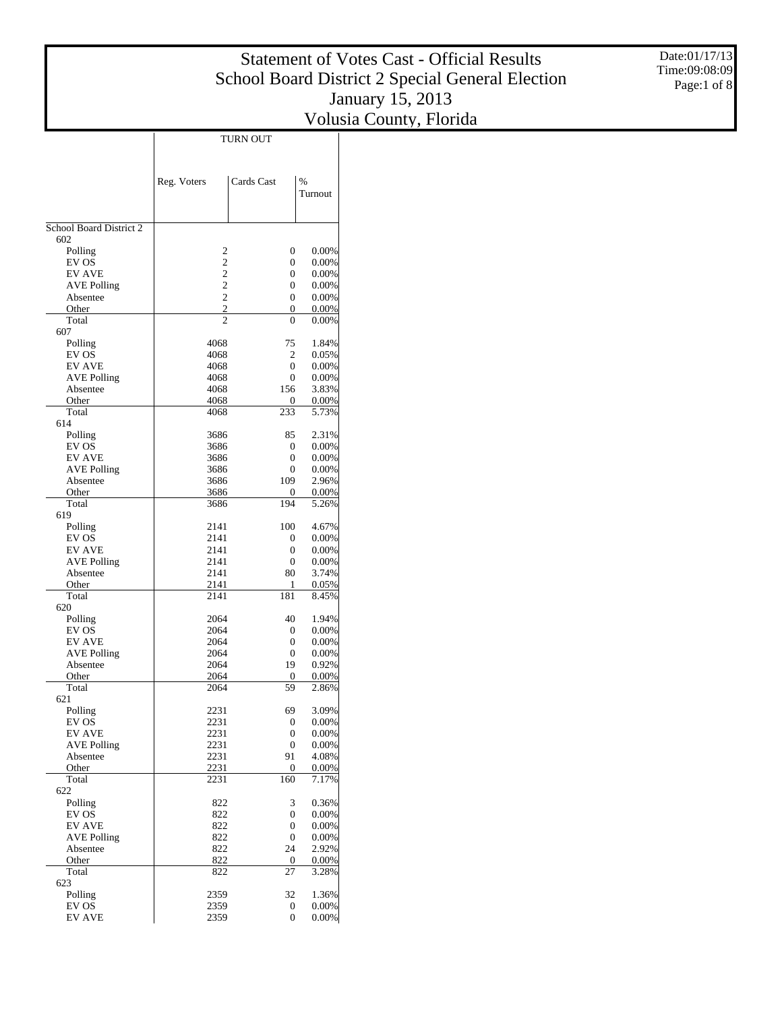Date:01/17/13 Time:09:08:09 Page:1 of 8

|                                |                                  | TURN OUT                         |                |
|--------------------------------|----------------------------------|----------------------------------|----------------|
|                                |                                  |                                  |                |
|                                |                                  |                                  |                |
|                                | Reg. Voters                      | Cards Cast                       | $\%$           |
|                                |                                  |                                  | Turnout        |
|                                |                                  |                                  |                |
| School Board District 2<br>602 |                                  |                                  |                |
| Polling                        | 2                                | $\overline{0}$                   | 0.00%          |
| EV OS                          | $\overline{c}$                   | $\overline{0}$                   | 0.00%          |
| <b>EV AVE</b>                  | $\overline{c}$                   | $\overline{0}$                   | 0.00%          |
| <b>AVE Polling</b>             | $\overline{c}$<br>$\overline{c}$ | $\overline{0}$<br>$\overline{0}$ | $0.00\%$       |
| Absentee<br>Other              | $\overline{c}$                   | 0                                | 0.00%<br>0.00% |
| Total                          | $\overline{c}$                   | $\theta$                         | 0.00%          |
| 607                            |                                  |                                  |                |
| Polling                        | 4068                             | 75                               | 1.84%          |
| EV OS<br><b>EV AVE</b>         | 4068<br>4068                     | 2<br>$\overline{0}$              | 0.05%<br>0.00% |
| <b>AVE Polling</b>             | 4068                             | $\overline{0}$                   | $0.00\%$       |
| Absentee                       | 4068                             | 156                              | 3.83%          |
| Other                          | 4068                             | 0                                | 0.00%          |
| Total                          | 4068                             | 233                              | 5.73%          |
| 614                            |                                  |                                  |                |
| Polling<br>EV OS               | 3686<br>3686                     | 85<br>$\overline{0}$             | 2.31%<br>0.00% |
| <b>EV AVE</b>                  | 3686                             | $\overline{0}$                   | 0.00%          |
| <b>AVE Polling</b>             | 3686                             | $\overline{0}$                   | 0.00%          |
| Absentee                       | 3686                             | 109                              | 2.96%          |
| Other                          | 3686                             | 0                                | 0.00%          |
| Total                          | 3686                             | 194                              | 5.26%          |
| 619<br>Polling                 | 2141                             | 100                              | 4.67%          |
| EV OS                          | 2141                             | $\overline{0}$                   | 0.00%          |
| <b>EV AVE</b>                  | 2141                             | $\overline{0}$                   | 0.00%          |
| <b>AVE Polling</b>             | 2141                             | $\overline{0}$                   | $0.00\%$       |
| Absentee                       | 2141                             | 80                               | 3.74%          |
| Other<br>Total                 | 2141<br>2141                     | 1<br>181                         | 0.05%<br>8.45% |
| 620                            |                                  |                                  |                |
| Polling                        | 2064                             | 40                               | 1.94%          |
| EV OS                          | 2064                             | $\overline{0}$                   | 0.00%          |
| <b>EV AVE</b>                  | 2064                             | $\overline{0}$                   | 0.00%          |
| <b>AVE Polling</b>             | 2064<br>2064                     | $\overline{0}$<br>19             | 0.00%<br>0.92% |
| Absentee<br>Other              | 2064                             | 0                                | 0.00%          |
| Total                          | 2064                             | 59                               | 2.86%          |
| 621                            |                                  |                                  |                |
| Polling                        | 2231                             | 69                               | 3.09%          |
| EV OS<br><b>EV AVE</b>         | 2231                             | 0                                | 0.00%<br>0.00% |
| <b>AVE Polling</b>             | 2231<br>2231                     | 0<br>0                           | 0.00%          |
| Absentee                       | 2231                             | 91                               | 4.08%          |
| Other                          | 2231                             | 0                                | 0.00%          |
| Total                          | 2231                             | 160                              | 7.17%          |
| 622                            |                                  |                                  |                |
| Polling<br>EV OS               | 822<br>822                       | 3<br>$\overline{0}$              | 0.36%<br>0.00% |
| <b>EV AVE</b>                  | 822                              | 0                                | 0.00%          |
| <b>AVE Polling</b>             | 822                              | 0                                | 0.00%          |
| Absentee                       | 822                              | 24                               | 2.92%          |
| Other                          | 822                              | $\boldsymbol{0}$                 | 0.00%          |
| Total<br>623                   | 822                              | 27                               | 3.28%          |
| Polling                        | 2359                             | 32                               | 1.36%          |
| EV OS                          | 2359                             | 0                                | 0.00%          |
| <b>EV AVE</b>                  | 2359                             | $\overline{0}$                   | $0.00\%$       |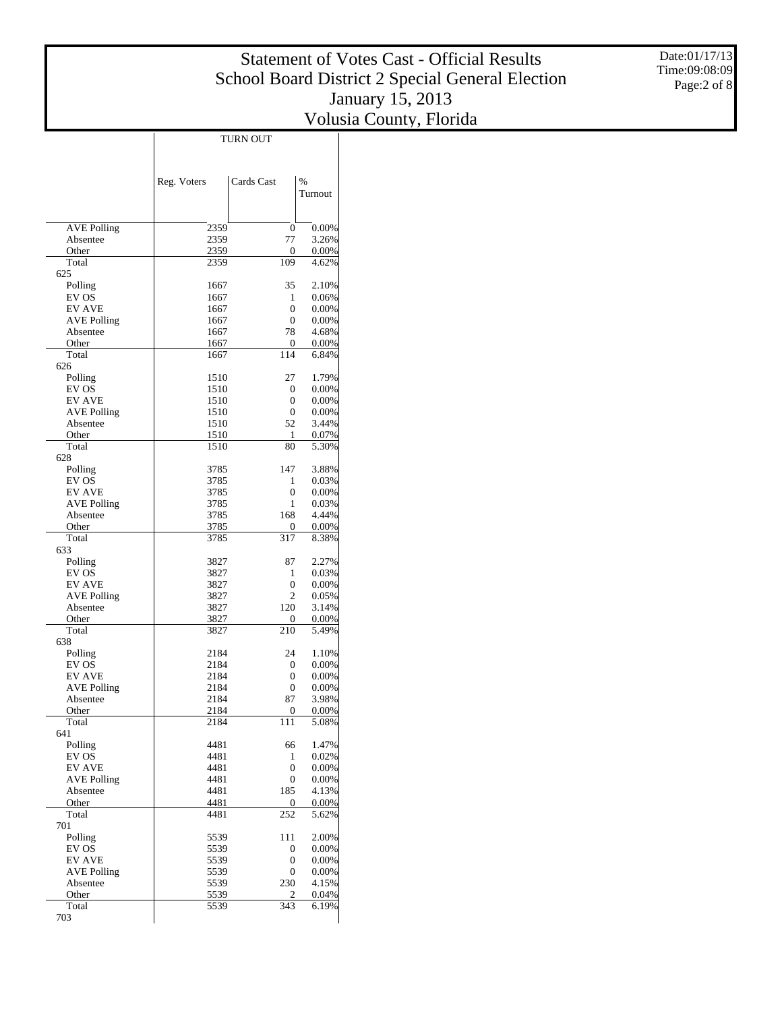Date:01/17/13 Time:09:08:09 Page:2 of 8

|                                     |              | <b>TURN OUT</b>                  |                |
|-------------------------------------|--------------|----------------------------------|----------------|
|                                     |              |                                  |                |
|                                     |              |                                  |                |
|                                     | Reg. Voters  | Cards Cast                       | $\%$           |
|                                     |              |                                  | Turnout        |
|                                     |              |                                  |                |
| <b>AVE Polling</b>                  | 2359         | $\overline{0}$                   | 0.00%          |
| Absentee                            | 2359         | 77                               | 3.26%          |
| Other                               | 2359         | 0                                | 0.00%          |
| Total<br>625                        | 2359         | 109                              | 4.62%          |
| Polling                             | 1667         | 35                               | 2.10%          |
| EV OS                               | 1667         | 1                                | 0.06%          |
| <b>EV AVE</b>                       | 1667         | $\overline{0}$                   | 0.00%          |
| <b>AVE Polling</b><br>Absentee      | 1667<br>1667 | $\overline{0}$<br>78             | 0.00%<br>4.68% |
| Other                               | 1667         | 0                                | 0.00%          |
| Total                               | 1667         | 114                              | 6.84%          |
| 626                                 |              |                                  |                |
| Polling<br>EV OS                    | 1510<br>1510 | 27<br>$\overline{0}$             | 1.79%<br>0.00% |
| <b>EV AVE</b>                       | 1510         | $\overline{0}$                   | 0.00%          |
| <b>AVE Polling</b>                  | 1510         | $\overline{0}$                   | 0.00%          |
| Absentee                            | 1510         | 52                               | 3.44%          |
| Other<br>Total                      | 1510<br>1510 | 1<br>80                          | 0.07%<br>5.30% |
| 628                                 |              |                                  |                |
| Polling                             | 3785         | 147                              | 3.88%          |
| EV OS                               | 3785         | 1                                | 0.03%          |
| <b>EV AVE</b>                       | 3785         | $\overline{0}$                   | 0.00%          |
| <b>AVE Polling</b><br>Absentee      | 3785<br>3785 | 1<br>168                         | 0.03%<br>4.44% |
| Other                               | 3785         | 0                                | 0.00%          |
| Total                               | 3785         | 317                              | 8.38%          |
| 633                                 |              |                                  |                |
| Polling<br>EV OS                    | 3827<br>3827 | 87<br>1                          | 2.27%<br>0.03% |
| <b>EV AVE</b>                       | 3827         | $\overline{0}$                   | 0.00%          |
| <b>AVE Polling</b>                  | 3827         | 2                                | 0.05%          |
| Absentee                            | 3827         | 120                              | 3.14%          |
| Other<br>Total                      | 3827<br>3827 | 0<br>210                         | 0.00%<br>5.49% |
| 638                                 |              |                                  |                |
| Polling                             | 2184         | 24                               | 1.10%          |
| EV OS                               | 2184         | 0                                | 0.00%          |
| <b>EV AVE</b><br><b>AVE Polling</b> | 2184<br>2184 | $\overline{0}$<br>$\overline{0}$ | 0.00%<br>0.00% |
| Absentee                            | 2184         | 87                               | 3.98%          |
| Other                               | 2184         | $\boldsymbol{0}$                 | 0.00%          |
| Total                               | 2184         | 111                              | 5.08%          |
| 641                                 |              |                                  |                |
| Polling<br>EV OS                    | 4481<br>4481 | 66<br>1                          | 1.47%<br>0.02% |
| <b>EV AVE</b>                       | 4481         | 0                                | 0.00%          |
| <b>AVE Polling</b>                  | 4481         | 0                                | 0.00%          |
| Absentee                            | 4481         | 185                              | 4.13%          |
| Other<br>Total                      | 4481<br>4481 | 0<br>$\overline{252}$            | 0.00%<br>5.62% |
| 701                                 |              |                                  |                |
| Polling                             | 5539         | 111                              | 2.00%          |
| EV OS                               | 5539         | 0                                | 0.00%          |
| <b>EV AVE</b>                       | 5539         | 0<br>0                           | 0.00%          |
| <b>AVE Polling</b><br>Absentee      | 5539<br>5539 | 230                              | 0.00%<br>4.15% |
| Other                               | 5539         | 2                                | 0.04%          |
| Total                               | 5539         | 343                              | 6.19%          |
| 703                                 |              |                                  |                |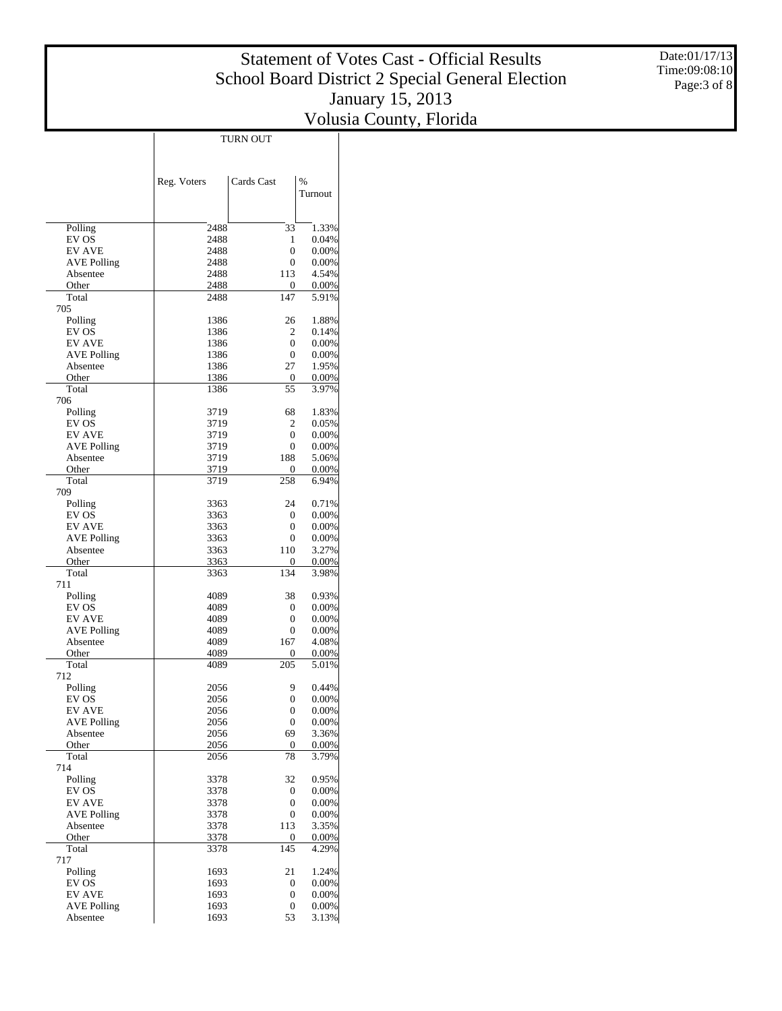Date:01/17/13 Time:09:08:10 Page:3 of 8

|                                |              | TURN OUT              |                |
|--------------------------------|--------------|-----------------------|----------------|
|                                |              |                       |                |
|                                |              |                       |                |
|                                | Reg. Voters  | Cards Cast            | $\%$           |
|                                |              |                       | Turnout        |
|                                |              |                       |                |
| Polling                        | 2488         | 33                    | 1.33%          |
| EV OS                          | 2488         | 1                     | 0.04%          |
| <b>EV AVE</b>                  | 2488         | $\overline{0}$        | 0.00%          |
| <b>AVE Polling</b><br>Absentee | 2488<br>2488 | $\overline{0}$<br>113 | 0.00%<br>4.54% |
| Other                          | 2488         | $\bf{0}$              | 0.00%          |
| Total                          | 2488         | 147                   | 5.91%          |
| 705                            |              |                       |                |
| Polling<br>EV OS               | 1386<br>1386 | 26<br>2               | 1.88%<br>0.14% |
| <b>EV AVE</b>                  | 1386         | $\overline{0}$        | 0.00%          |
| <b>AVE Polling</b>             | 1386         | $\overline{0}$        | 0.00%          |
| Absentee                       | 1386         | 27                    | 1.95%          |
| Other                          | 1386         | $\boldsymbol{0}$      | 0.00%          |
| Total<br>706                   | 1386         | 55                    | 3.97%          |
| Polling                        | 3719         | 68                    | 1.83%          |
| EV OS                          | 3719         | 2                     | 0.05%          |
| <b>EV AVE</b>                  | 3719         | $\overline{0}$        | 0.00%          |
| <b>AVE Polling</b>             | 3719         | 0                     | 0.00%          |
| Absentee                       | 3719         | 188                   | 5.06%          |
| Other<br>Total                 | 3719<br>3719 | 0<br>258              | 0.00%<br>6.94% |
| 709                            |              |                       |                |
| Polling                        | 3363         | 24                    | 0.71%          |
| EV OS                          | 3363         | $\boldsymbol{0}$      | 0.00%          |
| <b>EV AVE</b>                  | 3363         | $\overline{0}$        | 0.00%          |
| <b>AVE Polling</b>             | 3363         | 0<br>110              | 0.00%          |
| Absentee<br>Other              | 3363<br>3363 | 0                     | 3.27%<br>0.00% |
| Total                          | 3363         | 134                   | 3.98%          |
| 711                            |              |                       |                |
| Polling                        | 4089         | 38                    | 0.93%          |
| EV OS                          | 4089         | 0<br>$\overline{0}$   | 0.00%          |
| EV AVE<br><b>AVE Polling</b>   | 4089<br>4089 | 0                     | 0.00%<br>0.00% |
| Absentee                       | 4089         | 167                   | 4.08%          |
| Other                          | 4089         | 0                     | 0.00%          |
| Total                          | 4089         | 205                   | 5.01%          |
| 712<br>Polling                 | 2056         | 9                     | 0.44%          |
| EV OS                          | 2056         | $\overline{0}$        | 0.00%          |
| <b>EV AVE</b>                  | 2056         | 0                     | 0.00%          |
| <b>AVE Polling</b>             | 2056         | 0                     | 0.00%          |
| Absentee                       | 2056         | 69                    | 3.36%          |
| Other                          | 2056         | 0                     | 0.00%          |
| Total<br>714                   | 2056         | 78                    | 3.79%          |
| Polling                        | 3378         | 32                    | 0.95%          |
| EV OS                          | 3378         | 0                     | 0.00%          |
| <b>EV AVE</b>                  | 3378         | $\boldsymbol{0}$      | 0.00%          |
| <b>AVE Polling</b>             | 3378         | $\boldsymbol{0}$      | 0.00%          |
| Absentee<br>Other              | 3378<br>3378 | 113<br>0              | 3.35%<br>0.00% |
| Total                          | 3378         | 145                   | 4.29%          |
| 717                            |              |                       |                |
| Polling                        | 1693         | 21                    | 1.24%          |
| EV OS                          | 1693         | 0                     | 0.00%          |
| <b>EV AVE</b>                  | 1693         | $\boldsymbol{0}$      | 0.00%          |
| <b>AVE Polling</b><br>Absentee | 1693<br>1693 | 0<br>53               | 0.00%<br>3.13% |
|                                |              |                       |                |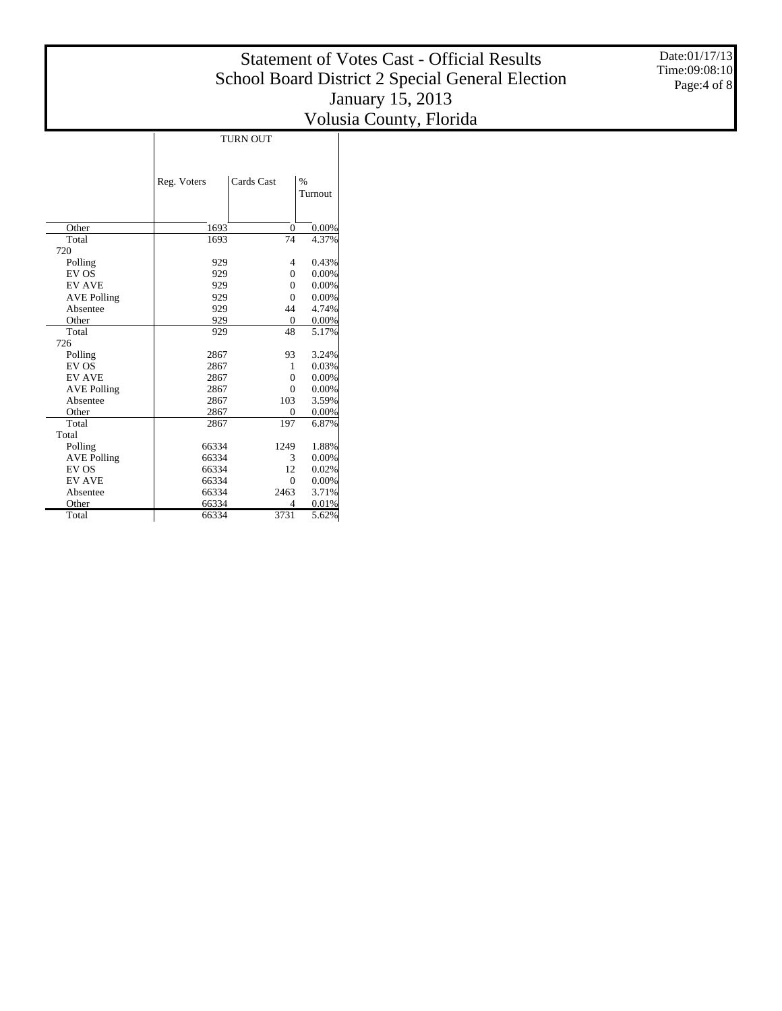Date:01/17/13 Time:09:08:10 Page:4 of 8

|                    | <b>TURN OUT</b> |                |          |  |  |  |  |  |  |
|--------------------|-----------------|----------------|----------|--|--|--|--|--|--|
|                    | Reg. Voters     | Cards Cast     | $\%$     |  |  |  |  |  |  |
|                    |                 |                | Turnout  |  |  |  |  |  |  |
|                    |                 |                |          |  |  |  |  |  |  |
| Other              | 1693            | $\overline{0}$ | 0.00%    |  |  |  |  |  |  |
| Total              | 1693            | 74             | 4.37%    |  |  |  |  |  |  |
| 720                |                 |                |          |  |  |  |  |  |  |
| Polling            | 929             | 4              | 0.43%    |  |  |  |  |  |  |
| EV OS              | 929             | $\theta$       | 0.00%    |  |  |  |  |  |  |
| <b>EV AVE</b>      | 929             | $\theta$       | $0.00\%$ |  |  |  |  |  |  |
| <b>AVE Polling</b> | 929             | $\overline{0}$ | 0.00%    |  |  |  |  |  |  |
| Absentee           | 929             | 44             | 4.74%    |  |  |  |  |  |  |
| Other              | 929             | $\mathbf{0}$   | $0.00\%$ |  |  |  |  |  |  |
| Total              | 929             | 48             | 5.17%    |  |  |  |  |  |  |
| 726                |                 |                |          |  |  |  |  |  |  |
| Polling            | 2867            | 93             | 3.24%    |  |  |  |  |  |  |
| EV OS              | 2867            | 1              | 0.03%    |  |  |  |  |  |  |
| <b>EV AVE</b>      | 2867            | $\theta$       | 0.00%    |  |  |  |  |  |  |
| <b>AVE Polling</b> | 2867            | $\theta$       | 0.00%    |  |  |  |  |  |  |
| Absentee           | 2867            | 103            | 3.59%    |  |  |  |  |  |  |
| Other              | 2867            | $\overline{0}$ | 0.00%    |  |  |  |  |  |  |
| Total              | 2867            | 197            | 6.87%    |  |  |  |  |  |  |
| Total              |                 |                |          |  |  |  |  |  |  |
| Polling            | 66334           | 1249           | 1.88%    |  |  |  |  |  |  |
| <b>AVE Polling</b> | 66334           | 3              | 0.00%    |  |  |  |  |  |  |
| EV OS              | 66334           | 12             | 0.02%    |  |  |  |  |  |  |
| <b>EV AVE</b>      | 66334           | $\theta$       | 0.00%    |  |  |  |  |  |  |
| Absentee           | 66334           | 2463           | 3.71%    |  |  |  |  |  |  |
| Other              | 66334           | $\overline{4}$ | 0.01%    |  |  |  |  |  |  |
| Total              | 66334           | 3731           | 5.62%    |  |  |  |  |  |  |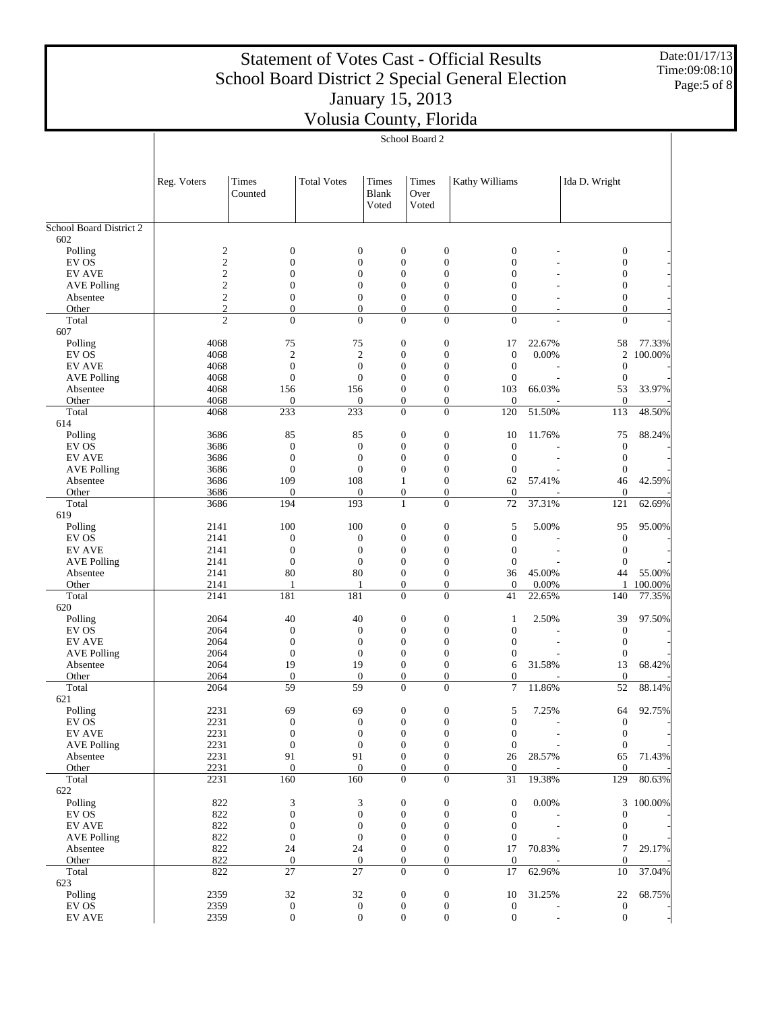Date:01/17/13 Time:09:08:10 Page:5 of 8

|                                | School Board 2                   |                                    |                                    |                                      |                        |                                                                |                                            |                              |                   |
|--------------------------------|----------------------------------|------------------------------------|------------------------------------|--------------------------------------|------------------------|----------------------------------------------------------------|--------------------------------------------|------------------------------|-------------------|
|                                | Reg. Voters                      | Times<br>Counted                   | <b>Total Votes</b>                 | Times<br><b>Blank</b><br>Voted       | Times<br>Over<br>Voted | Kathy Williams                                                 |                                            | Ida D. Wright                |                   |
| <b>School Board District 2</b> |                                  |                                    |                                    |                                      |                        |                                                                |                                            |                              |                   |
| 602<br>Polling                 | $\overline{c}$                   | $\boldsymbol{0}$                   | 0                                  | $\boldsymbol{0}$                     |                        | $\boldsymbol{0}$<br>$\boldsymbol{0}$                           |                                            | $\boldsymbol{0}$             |                   |
| EV OS                          | $\overline{c}$                   | $\mathbf{0}$                       | $\boldsymbol{0}$                   | $\overline{0}$                       |                        | $\boldsymbol{0}$<br>$\boldsymbol{0}$                           |                                            | $\mathbf{0}$                 |                   |
| <b>EV AVE</b>                  | $\overline{c}$                   | $\mathbf{0}$                       | $\boldsymbol{0}$                   | $\boldsymbol{0}$                     |                        | $\boldsymbol{0}$<br>$\boldsymbol{0}$                           |                                            | $\boldsymbol{0}$             |                   |
| <b>AVE Polling</b>             | $\mathfrak{2}$                   | $\mathbf{0}$                       | $\boldsymbol{0}$                   | $\overline{0}$                       |                        | $\boldsymbol{0}$<br>$\boldsymbol{0}$                           |                                            | $\mathbf{0}$                 |                   |
| Absentee                       | $\overline{c}$                   | $\mathbf{0}$                       | $\boldsymbol{0}$                   | $\boldsymbol{0}$                     |                        | $\boldsymbol{0}$<br>$\boldsymbol{0}$                           |                                            | $\boldsymbol{0}$             |                   |
| Other<br>Total                 | $\mathfrak{2}$<br>$\overline{c}$ | $\boldsymbol{0}$<br>$\overline{0}$ | $\boldsymbol{0}$<br>$\overline{0}$ | $\mathbf{0}$<br>$\mathbf{0}$         |                        | $\overline{0}$<br>$\mathbf{0}$<br>$\mathbf{0}$<br>$\mathbf{0}$ | $\overline{a}$<br>$\overline{\phantom{a}}$ | $\mathbf{0}$<br>$\mathbf{0}$ |                   |
| 607                            |                                  |                                    |                                    |                                      |                        |                                                                |                                            |                              |                   |
| Polling                        | 4068                             | 75                                 | 75                                 | $\boldsymbol{0}$                     |                        | $\boldsymbol{0}$<br>17                                         | 22.67%                                     | 58                           | 77.33%            |
| EV OS                          | 4068                             | $\mathfrak{2}$                     | $\overline{2}$                     | $\overline{0}$                       |                        | $\boldsymbol{0}$<br>$\boldsymbol{0}$                           | 0.00%                                      | 2                            | 100.00%           |
| <b>EV AVE</b>                  | 4068                             | $\boldsymbol{0}$                   | $\boldsymbol{0}$                   | $\boldsymbol{0}$                     |                        | $\boldsymbol{0}$<br>$\boldsymbol{0}$                           |                                            | $\boldsymbol{0}$             |                   |
| <b>AVE Polling</b>             | 4068                             | $\boldsymbol{0}$                   | $\boldsymbol{0}$                   | $\overline{0}$                       |                        | $\boldsymbol{0}$<br>$\boldsymbol{0}$                           |                                            | $\boldsymbol{0}$             |                   |
| Absentee<br>Other              | 4068<br>4068                     | 156<br>$\boldsymbol{0}$            | 156<br>$\boldsymbol{0}$            | $\boldsymbol{0}$<br>$\boldsymbol{0}$ |                        | $\boldsymbol{0}$<br>103<br>0<br>$\boldsymbol{0}$               | 66.03%                                     | 53<br>$\boldsymbol{0}$       | 33.97%            |
| Total                          | 4068                             | 233                                | 233                                | $\mathbf{0}$                         |                        | $\mathbf{0}$<br>120                                            | 51.50%                                     | 113                          | 48.50%            |
| 614                            |                                  |                                    |                                    |                                      |                        |                                                                |                                            |                              |                   |
| Polling                        | 3686                             | 85                                 | 85                                 | $\boldsymbol{0}$                     |                        | $\boldsymbol{0}$<br>10                                         | 11.76%                                     | 75                           | 88.24%            |
| EV OS                          | 3686                             | $\boldsymbol{0}$                   | $\boldsymbol{0}$                   | $\overline{0}$                       |                        | $\boldsymbol{0}$<br>$\boldsymbol{0}$                           |                                            | $\mathbf{0}$                 |                   |
| <b>EV AVE</b>                  | 3686                             | $\boldsymbol{0}$                   | $\boldsymbol{0}$                   | $\boldsymbol{0}$                     |                        | $\boldsymbol{0}$<br>$\boldsymbol{0}$                           |                                            | $\boldsymbol{0}$             |                   |
| <b>AVE Polling</b>             | 3686                             | $\boldsymbol{0}$                   | $\boldsymbol{0}$                   | $\mathbf{0}$                         |                        | $\overline{0}$<br>$\boldsymbol{0}$                             |                                            | $\boldsymbol{0}$             |                   |
| Absentee<br>Other              | 3686<br>3686                     | 109<br>$\mathbf{0}$                | 108<br>$\boldsymbol{0}$            | 1<br>$\boldsymbol{0}$                |                        | $\boldsymbol{0}$<br>62<br>$\mathbf{0}$<br>0                    | 57.41%                                     | 46<br>$\boldsymbol{0}$       | 42.59%            |
| Total                          | 3686                             | 194                                | 193                                | $\mathbf{1}$                         |                        | $\mathbf{0}$<br>72                                             | 37.31%                                     | 121                          | 62.69%            |
| 619                            |                                  |                                    |                                    |                                      |                        |                                                                |                                            |                              |                   |
| Polling                        | 2141                             | 100                                | 100                                | $\boldsymbol{0}$                     |                        | $\boldsymbol{0}$<br>5                                          | 5.00%                                      | 95                           | 95.00%            |
| EV OS                          | 2141                             | $\boldsymbol{0}$                   | $\boldsymbol{0}$                   | $\boldsymbol{0}$                     |                        | $\boldsymbol{0}$<br>$\boldsymbol{0}$                           |                                            | $\mathbf{0}$                 |                   |
| <b>EV AVE</b>                  | 2141                             | $\boldsymbol{0}$                   | $\boldsymbol{0}$                   | $\boldsymbol{0}$                     |                        | $\boldsymbol{0}$<br>$\boldsymbol{0}$                           |                                            | $\boldsymbol{0}$             |                   |
| <b>AVE Polling</b>             | 2141                             | $\boldsymbol{0}$                   | $\boldsymbol{0}$                   | $\overline{0}$                       |                        | $\overline{0}$<br>$\boldsymbol{0}$                             |                                            | $\boldsymbol{0}$             |                   |
| Absentee                       | 2141                             | 80                                 | 80                                 | $\boldsymbol{0}$                     |                        | $\boldsymbol{0}$<br>36                                         | 45.00%                                     | 44                           | 55.00%            |
| Other<br>Total                 | 2141<br>2141                     | 1<br>181                           | 1<br>181                           | $\boldsymbol{0}$<br>$\mathbf{0}$     |                        | 0<br>$\mathbf{0}$<br>$\mathbf{0}$<br>41                        | 0.00%<br>22.65%                            | 1<br>140                     | 100.00%<br>77.35% |
| 620                            |                                  |                                    |                                    |                                      |                        |                                                                |                                            |                              |                   |
| Polling                        | 2064                             | 40                                 | 40                                 | $\boldsymbol{0}$                     |                        | $\boldsymbol{0}$<br>$\mathbf{1}$                               | 2.50%                                      | 39                           | 97.50%            |
| EV OS                          | 2064                             | $\boldsymbol{0}$                   | $\boldsymbol{0}$                   | $\boldsymbol{0}$                     |                        | $\boldsymbol{0}$<br>$\boldsymbol{0}$                           |                                            | $\mathbf{0}$                 |                   |
| <b>EV AVE</b>                  | 2064                             | $\boldsymbol{0}$                   | $\boldsymbol{0}$                   | $\boldsymbol{0}$                     |                        | $\boldsymbol{0}$<br>$\boldsymbol{0}$                           |                                            | $\boldsymbol{0}$             |                   |
| <b>AVE Polling</b>             | 2064                             | $\boldsymbol{0}$                   | $\boldsymbol{0}$                   | $\overline{0}$                       |                        | $\overline{0}$<br>$\mathbf{0}$                                 |                                            | $\boldsymbol{0}$             |                   |
| Absentee                       | 2064                             | 19                                 | 19                                 | $\boldsymbol{0}$                     |                        | $\boldsymbol{0}$<br>6                                          | 31.58%                                     | 13                           | 68.42%            |
| Other<br>Total                 | 2064<br>2064                     | $\boldsymbol{0}$<br>59             | $\boldsymbol{0}$<br>59             | $\theta$<br>$\mathbf{0}$             |                        | $\mathbf{0}$<br>$\mathbf{0}$<br>$\overline{0}$<br>7            | 11.86%                                     | $\boldsymbol{0}$<br>52       | 88.14%            |
| 621                            |                                  |                                    |                                    |                                      |                        |                                                                |                                            |                              |                   |
| Polling                        | 2231                             | 69                                 | 69                                 | $\boldsymbol{0}$                     |                        | $\boldsymbol{0}$<br>5                                          | 7.25%                                      | 64                           | 92.75%            |
| EV OS                          | 2231                             | $\boldsymbol{0}$                   | $\boldsymbol{0}$                   | $\boldsymbol{0}$                     |                        | $\boldsymbol{0}$<br>$\boldsymbol{0}$                           |                                            | $\boldsymbol{0}$             |                   |
| <b>EV AVE</b>                  | 2231                             | $\boldsymbol{0}$                   | $\boldsymbol{0}$                   | $\boldsymbol{0}$                     |                        | $\boldsymbol{0}$<br>0                                          |                                            | $\mathbf{0}$                 |                   |
| <b>AVE Polling</b>             | 2231                             | $\boldsymbol{0}$                   | $\boldsymbol{0}$                   | $\boldsymbol{0}$                     |                        | $\boldsymbol{0}$<br>$\boldsymbol{0}$                           |                                            | $\boldsymbol{0}$             |                   |
| Absentee<br>Other              | 2231<br>2231                     | 91<br>$\boldsymbol{0}$             | 91<br>$\boldsymbol{0}$             | $\boldsymbol{0}$<br>$\boldsymbol{0}$ |                        | 0<br>26<br>0<br>$\boldsymbol{0}$                               | 28.57%                                     | 65<br>$\overline{0}$         | 71.43%            |
| Total                          | 2231                             | 160                                | 160                                | $\boldsymbol{0}$                     |                        | $\boldsymbol{0}$<br>31                                         | 19.38%                                     | 129                          | 80.63%            |
| 622                            |                                  |                                    |                                    |                                      |                        |                                                                |                                            |                              |                   |
| Polling                        | 822                              | 3                                  | 3                                  | $\boldsymbol{0}$                     |                        | $\boldsymbol{0}$<br>$\boldsymbol{0}$                           | 0.00%                                      | 3                            | 100.00%           |
| EV OS                          | 822                              | $\boldsymbol{0}$                   | $\boldsymbol{0}$                   | $\boldsymbol{0}$                     |                        | $\boldsymbol{0}$<br>$\boldsymbol{0}$                           |                                            | $\boldsymbol{0}$             |                   |
| <b>EV AVE</b>                  | 822                              | $\boldsymbol{0}$                   | $\boldsymbol{0}$                   | $\boldsymbol{0}$                     |                        | $\boldsymbol{0}$<br>$\mathbf{0}$                               |                                            | $\boldsymbol{0}$             |                   |
| <b>AVE Polling</b>             | 822                              | $\boldsymbol{0}$                   | $\boldsymbol{0}$                   | $\boldsymbol{0}$                     |                        | $\boldsymbol{0}$<br>$\boldsymbol{0}$                           |                                            | $\boldsymbol{0}$             |                   |
| Absentee                       | 822                              | 24                                 | 24                                 | $\boldsymbol{0}$                     |                        | 17<br>0                                                        | 70.83%                                     | $\tau$                       | 29.17%            |
| Other<br>Total                 | 822<br>822                       | $\boldsymbol{0}$<br>$27\,$         | $\boldsymbol{0}$<br>27             | $\boldsymbol{0}$<br>$\boldsymbol{0}$ |                        | 0<br>$\boldsymbol{0}$<br>$\boldsymbol{0}$<br>17                | 62.96%                                     | $\mathbf{0}$<br>10           | 37.04%            |
| 623                            |                                  |                                    |                                    |                                      |                        |                                                                |                                            |                              |                   |
| Polling                        | 2359                             | 32                                 | 32                                 | $\boldsymbol{0}$                     |                        | $\boldsymbol{0}$<br>10                                         | 31.25%                                     | 22                           | 68.75%            |
| EV OS                          | 2359                             | $\boldsymbol{0}$                   | $\boldsymbol{0}$                   | $\boldsymbol{0}$                     |                        | $\boldsymbol{0}$<br>$\boldsymbol{0}$                           |                                            | $\boldsymbol{0}$             |                   |
| ${\rm EV}$ AVE                 | 2359                             | $\boldsymbol{0}$                   | $\boldsymbol{0}$                   | $\boldsymbol{0}$                     |                        | $\boldsymbol{0}$<br>$\boldsymbol{0}$                           |                                            | $\boldsymbol{0}$             |                   |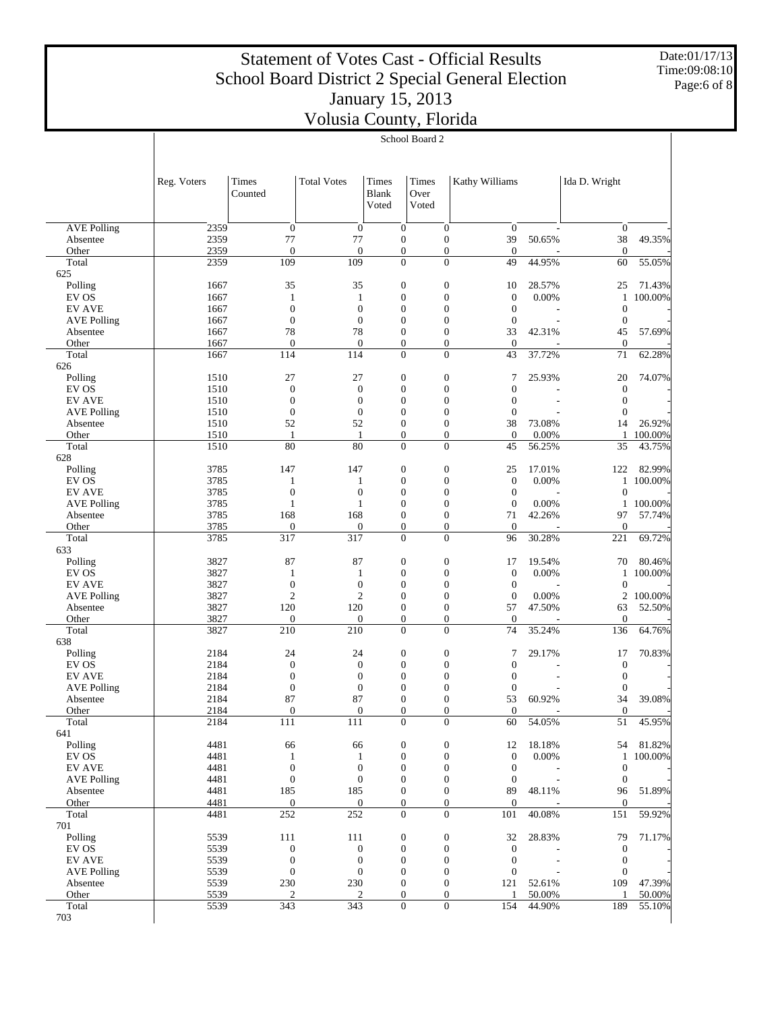Date:01/17/13 Time:09:08:10 Page:6 of 8

|                                     | School Board 2 |                                  |                                  |                                      |                        |                                    |                                  |                 |                                      |         |
|-------------------------------------|----------------|----------------------------------|----------------------------------|--------------------------------------|------------------------|------------------------------------|----------------------------------|-----------------|--------------------------------------|---------|
|                                     |                |                                  |                                  |                                      |                        |                                    |                                  |                 |                                      |         |
|                                     | Reg. Voters    | Times<br>Counted                 | <b>Total Votes</b>               | Times<br><b>Blank</b><br>Voted       | Times<br>Over<br>Voted |                                    | Kathy Williams                   |                 | Ida D. Wright                        |         |
|                                     |                |                                  |                                  |                                      |                        |                                    |                                  |                 |                                      |         |
| <b>AVE Polling</b>                  | 2359           | $\mathbf{0}$                     | $\boldsymbol{0}$                 | $\overline{0}$                       |                        | $\overline{0}$                     | $\mathbf{0}$                     |                 | $\boldsymbol{0}$                     |         |
| Absentee                            | 2359           | 77                               | 77                               | $\boldsymbol{0}$                     |                        | $\boldsymbol{0}$                   | 39                               | 50.65%          | 38                                   | 49.35%  |
| Other                               | 2359           | $\mathbf{0}$                     | $\overline{0}$                   | $\boldsymbol{0}$                     |                        | $\boldsymbol{0}$                   | $\theta$                         |                 | $\mathbf{0}$                         |         |
| Total                               | 2359           | 109                              | 109                              | $\overline{0}$                       |                        | $\Omega$                           | 49                               | 44.95%          | 60                                   | 55.05%  |
| 625                                 |                |                                  |                                  |                                      |                        |                                    |                                  |                 |                                      | 71.43%  |
| Polling<br>EV OS                    | 1667<br>1667   | 35<br>1                          | 35<br>1                          | $\boldsymbol{0}$<br>$\boldsymbol{0}$ |                        | $\boldsymbol{0}$<br>$\overline{0}$ | 10<br>$\mathbf{0}$               | 28.57%<br>0.00% | 25<br>$\mathbf{1}$                   | 100.00% |
| <b>EV AVE</b>                       | 1667           | $\overline{0}$                   | $\overline{0}$                   | $\boldsymbol{0}$                     |                        | $\overline{0}$                     | $\mathbf{0}$                     |                 | $\boldsymbol{0}$                     |         |
| <b>AVE Polling</b>                  | 1667           | $\mathbf{0}$                     | $\boldsymbol{0}$                 | $\boldsymbol{0}$                     |                        | $\overline{0}$                     | $\boldsymbol{0}$                 |                 | $\boldsymbol{0}$                     |         |
| Absentee                            | 1667           | 78                               | 78                               | $\boldsymbol{0}$                     |                        | $\overline{0}$                     | 33                               | 42.31%          | 45                                   | 57.69%  |
| Other                               | 1667           | $\overline{0}$                   | $\overline{0}$                   | $\boldsymbol{0}$                     |                        | $\boldsymbol{0}$                   | $\theta$                         |                 | $\boldsymbol{0}$                     |         |
| Total                               | 1667           | 114                              | 114                              | $\overline{0}$                       |                        | $\Omega$                           | 43                               | 37.72%          | 71                                   | 62.28%  |
| 626                                 |                |                                  |                                  |                                      |                        |                                    |                                  |                 |                                      |         |
| Polling                             | 1510           | 27                               | 27                               | $\boldsymbol{0}$                     |                        | $\boldsymbol{0}$                   | 7                                | 25.93%          | 20                                   | 74.07%  |
| EV OS                               | 1510           | $\mathbf{0}$                     | $\overline{0}$                   | $\boldsymbol{0}$                     |                        | $\boldsymbol{0}$                   | $\mathbf{0}$                     |                 | $\boldsymbol{0}$                     |         |
| <b>EV AVE</b>                       | 1510<br>1510   | $\overline{0}$<br>$\overline{0}$ | $\overline{0}$<br>$\overline{0}$ | $\boldsymbol{0}$<br>$\boldsymbol{0}$ |                        | $\overline{0}$<br>$\overline{0}$   | $\overline{0}$<br>$\mathbf{0}$   |                 | $\boldsymbol{0}$<br>$\boldsymbol{0}$ |         |
| <b>AVE Polling</b><br>Absentee      | 1510           | 52                               | 52                               | $\boldsymbol{0}$                     |                        | $\overline{0}$                     | 38                               | 73.08%          | 14                                   | 26.92%  |
| Other                               | 1510           | 1                                | 1                                | $\boldsymbol{0}$                     |                        | $\boldsymbol{0}$                   | $\theta$                         | 0.00%           | 1                                    | 100.00% |
| Total                               | 1510           | 80                               | 80                               | $\overline{0}$                       |                        | $\Omega$                           | 45                               | 56.25%          | 35                                   | 43.75%  |
| 628                                 |                |                                  |                                  |                                      |                        |                                    |                                  |                 |                                      |         |
| Polling                             | 3785           | 147                              | 147                              | $\boldsymbol{0}$                     |                        | $\boldsymbol{0}$                   | 25                               | 17.01%          | 122                                  | 82.99%  |
| EV OS                               | 3785           | 1                                | 1                                | $\boldsymbol{0}$                     |                        | $\overline{0}$                     | $\mathbf{0}$                     | 0.00%           | $\mathbf{1}$                         | 100.00% |
| <b>EV AVE</b>                       | 3785           | $\overline{0}$                   | $\overline{0}$                   | $\boldsymbol{0}$                     |                        | $\overline{0}$                     | $\mathbf{0}$                     |                 | $\mathbf{0}$                         |         |
| <b>AVE Polling</b>                  | 3785           | $\mathbf{1}$                     | $\mathbf{1}$                     | $\boldsymbol{0}$                     |                        | $\overline{0}$                     | $\boldsymbol{0}$                 | 0.00%           | $\mathbf{1}$                         | 100.00% |
| Absentee                            | 3785           | 168                              | 168                              | $\boldsymbol{0}$                     |                        | $\overline{0}$                     | 71                               | 42.26%          | 97                                   | 57.74%  |
| Other                               | 3785           | $\overline{0}$                   | $\overline{0}$                   | $\boldsymbol{0}$                     |                        | $\boldsymbol{0}$                   | $\theta$                         |                 | $\mathbf{0}$                         |         |
| Total                               | 3785           | 317                              | 317                              | $\overline{0}$                       |                        | $\Omega$                           | 96                               | 30.28%          | 221                                  | 69.72%  |
| 633<br>Polling                      | 3827           | 87                               | 87                               | $\boldsymbol{0}$                     |                        | $\boldsymbol{0}$                   | 17                               | 19.54%          | 70                                   | 80.46%  |
| EV OS                               | 3827           | 1                                | 1                                | $\boldsymbol{0}$                     |                        | $\boldsymbol{0}$                   | $\mathbf{0}$                     | 0.00%           | $\mathbf{1}$                         | 100.00% |
| <b>EV AVE</b>                       | 3827           | $\overline{0}$                   | $\overline{0}$                   | $\boldsymbol{0}$                     |                        | $\overline{0}$                     | $\mathbf{0}$                     |                 | $\boldsymbol{0}$                     |         |
| <b>AVE Polling</b>                  | 3827           | $\mathfrak{2}$                   | $\overline{c}$                   | $\boldsymbol{0}$                     |                        | $\overline{0}$                     | $\boldsymbol{0}$                 | 0.00%           | 2                                    | 100.00% |
| Absentee                            | 3827           | 120                              | 120                              | $\boldsymbol{0}$                     |                        | $\overline{0}$                     | 57                               | 47.50%          | 63                                   | 52.50%  |
| Other                               | 3827           | $\overline{0}$                   | $\overline{0}$                   | $\boldsymbol{0}$                     |                        | $\boldsymbol{0}$                   | $\theta$                         |                 | $\boldsymbol{0}$                     |         |
| Total                               | 3827           | 210                              | 210                              | $\overline{0}$                       |                        | $\Omega$                           | 74                               | 35.24%          | 136                                  | 64.76%  |
| 638                                 |                |                                  |                                  |                                      |                        |                                    |                                  |                 |                                      |         |
| Polling                             | 2184           | 24                               | 24                               | $\boldsymbol{0}$                     |                        | $\boldsymbol{0}$                   | 7                                | 29.17%          | 17                                   | 70.83%  |
| EV OS                               | 2184           | $\mathbf{0}$                     | $\boldsymbol{0}$                 | $\boldsymbol{0}$                     |                        | $\boldsymbol{0}$                   | $\mathbf{0}$                     |                 | $\boldsymbol{0}$                     |         |
| <b>EV AVE</b><br><b>AVE Polling</b> | 2184<br>2184   | $\overline{0}$<br>$\mathbf{0}$   | $\overline{0}$<br>$\overline{0}$ | $\boldsymbol{0}$<br>$\boldsymbol{0}$ |                        | $\overline{0}$<br>$\overline{0}$   | $\mathbf{0}$<br>$\boldsymbol{0}$ |                 | $\boldsymbol{0}$<br>$\boldsymbol{0}$ |         |
| Absentee                            | 2184           | 87                               | 87                               | $\Omega$                             |                        | $\theta$                           | 53                               | 60.92%          | 34                                   | 39.08%  |
| Other                               | 2184           | $\boldsymbol{0}$                 | $\boldsymbol{0}$                 | $\boldsymbol{0}$                     |                        | $\boldsymbol{0}$                   | $\boldsymbol{0}$                 |                 | $\mathbf{0}$                         |         |
| Total                               | 2184           | 111                              | 111                              | $\overline{0}$                       |                        | $\overline{0}$                     | 60                               | 54.05%          | 51                                   | 45.95%  |
| 641                                 |                |                                  |                                  |                                      |                        |                                    |                                  |                 |                                      |         |
| Polling                             | 4481           | 66                               | 66                               | $\boldsymbol{0}$                     |                        | $\boldsymbol{0}$                   | 12                               | 18.18%          | 54                                   | 81.82%  |
| EV OS                               | 4481           | 1                                | $\mathbf{1}$                     | $\boldsymbol{0}$                     |                        | $\boldsymbol{0}$                   | $\mathbf{0}$                     | 0.00%           | $\mathbf{1}$                         | 100.00% |
| <b>EV AVE</b>                       | 4481           | $\mathbf{0}$                     | $\mathbf{0}$                     | $\boldsymbol{0}$                     |                        | $\boldsymbol{0}$                   | $\mathbf{0}$                     |                 | $\boldsymbol{0}$                     |         |
| <b>AVE Polling</b>                  | 4481           | $\boldsymbol{0}$                 | $\boldsymbol{0}$                 | $\boldsymbol{0}$                     |                        | $\boldsymbol{0}$                   | $\mathbf{0}$                     |                 | $\boldsymbol{0}$                     |         |
| Absentee                            | 4481           | 185                              | 185                              | $\boldsymbol{0}$                     |                        | $\boldsymbol{0}$                   | 89                               | 48.11%          | 96                                   | 51.89%  |
| Other                               | 4481           | $\boldsymbol{0}$                 | $\boldsymbol{0}$                 | $\boldsymbol{0}$                     |                        | $\boldsymbol{0}$                   | $\boldsymbol{0}$                 |                 | $\mathbf{0}$                         |         |
| Total<br>701                        | 4481           | 252                              | 252                              | $\boldsymbol{0}$                     |                        | $\boldsymbol{0}$                   | 101                              | 40.08%          | 151                                  | 59.92%  |
| Polling                             | 5539           | 111                              | 111                              | $\boldsymbol{0}$                     |                        | $\boldsymbol{0}$                   | 32                               | 28.83%          | 79                                   | 71.17%  |
| EV OS                               | 5539           | $\boldsymbol{0}$                 | $\boldsymbol{0}$                 | $\boldsymbol{0}$                     |                        | $\boldsymbol{0}$                   | $\boldsymbol{0}$                 |                 | $\boldsymbol{0}$                     |         |
| <b>EV AVE</b>                       | 5539           | $\mathbf{0}$                     | $\mathbf{0}$                     | $\boldsymbol{0}$                     |                        | $\boldsymbol{0}$                   | $\mathbf{0}$                     |                 | $\boldsymbol{0}$                     |         |
| <b>AVE Polling</b>                  | 5539           | $\mathbf{0}$                     | $\boldsymbol{0}$                 | $\boldsymbol{0}$                     |                        | $\boldsymbol{0}$                   | $\boldsymbol{0}$                 |                 | $\boldsymbol{0}$                     |         |
| Absentee                            | 5539           | 230                              | 230                              | $\boldsymbol{0}$                     |                        | $\boldsymbol{0}$                   | 121                              | 52.61%          | 109                                  | 47.39%  |
| Other                               | 5539           | $\boldsymbol{2}$                 | $\overline{c}$                   | $\boldsymbol{0}$                     |                        | $\boldsymbol{0}$                   | 1                                | 50.00%          | $\mathbf{1}$                         | 50.00%  |
| Total                               | 5539           | 343                              | 343                              |                                      | $\boldsymbol{0}$       | $\boldsymbol{0}$                   | 154                              | 44.90%          | 189                                  | 55.10%  |
| 703                                 |                |                                  |                                  |                                      |                        |                                    |                                  |                 |                                      |         |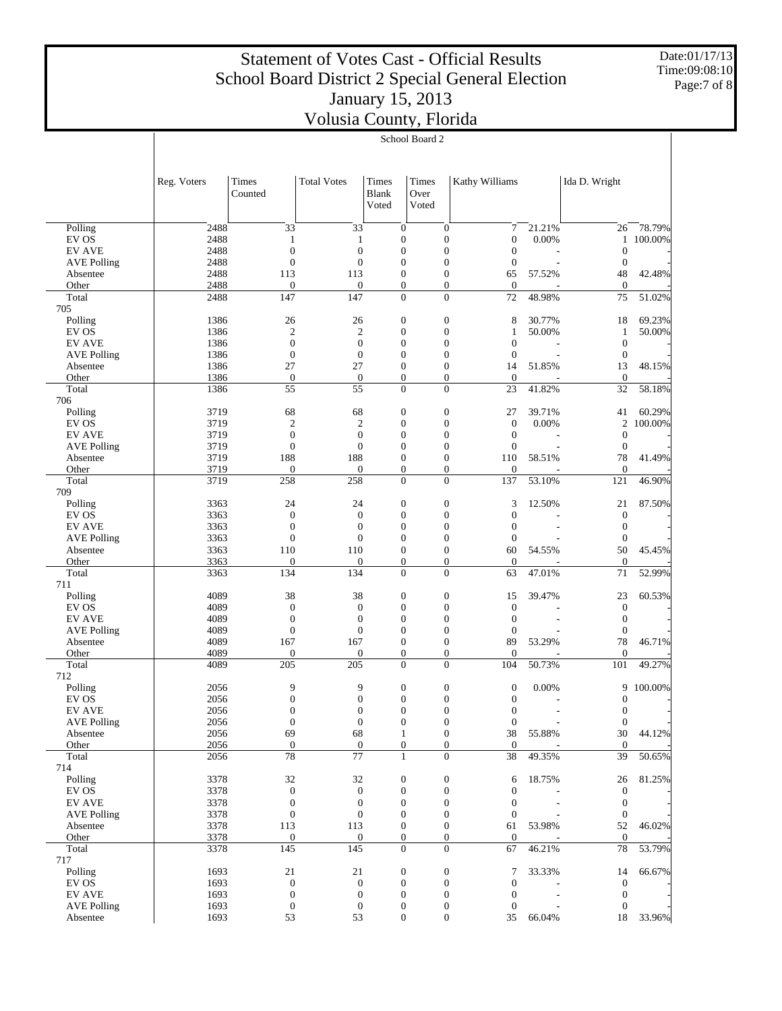Date:01/17/13 Time:09:08:10 Page:7 of 8

|                                     | School Board 2 |                                      |                                      |                                |                                      |                                    |                                      |                  |                                      |                   |
|-------------------------------------|----------------|--------------------------------------|--------------------------------------|--------------------------------|--------------------------------------|------------------------------------|--------------------------------------|------------------|--------------------------------------|-------------------|
|                                     |                |                                      |                                      |                                |                                      |                                    |                                      |                  |                                      |                   |
|                                     | Reg. Voters    | Times<br>Counted                     | <b>Total Votes</b>                   | Times<br><b>Blank</b><br>Voted | Times<br>Over<br>Voted               |                                    | Kathy Williams                       |                  | Ida D. Wright                        |                   |
|                                     | 2488           | 33                                   | 33                                   |                                | $\overline{0}$                       | $\overline{0}$                     | 7                                    | 21.21%           |                                      | 78.79%            |
| Polling<br>EV OS                    | 2488           | 1                                    | 1                                    |                                | $\boldsymbol{0}$                     | $\overline{0}$                     | $\boldsymbol{0}$                     | 0.00%            | 26<br>$\mathbf{1}$                   | 100.00%           |
| <b>EV AVE</b>                       | 2488           | $\overline{0}$                       | $\overline{0}$                       |                                | $\boldsymbol{0}$                     | $\overline{0}$                     | $\mathbf{0}$                         |                  | $\mathbf{0}$                         |                   |
| <b>AVE Polling</b>                  | 2488           | $\overline{0}$                       | $\overline{0}$                       |                                | $\overline{0}$                       | $\overline{0}$                     | $\mathbf{0}$                         |                  | $\mathbf{0}$                         |                   |
| Absentee                            | 2488           | 113                                  | 113                                  |                                | $\boldsymbol{0}$                     | $\overline{0}$                     | 65                                   | 57.52%           | 48                                   | 42.48%            |
| Other                               | 2488           | $\boldsymbol{0}$                     | $\overline{0}$                       |                                | $\boldsymbol{0}$                     | $\overline{0}$                     | $\boldsymbol{0}$                     |                  | $\mathbf{0}$                         |                   |
| Total                               | 2488           | 147                                  | 147                                  |                                | $\mathbf{0}$                         | $\Omega$                           | 72                                   | 48.98%           | 75                                   | 51.02%            |
| 705                                 |                |                                      |                                      |                                |                                      |                                    |                                      |                  |                                      |                   |
| Polling<br>EV OS                    | 1386<br>1386   | 26<br>$\boldsymbol{2}$               | 26<br>$\boldsymbol{2}$               |                                | $\boldsymbol{0}$<br>$\boldsymbol{0}$ | $\overline{0}$<br>$\overline{0}$   | 8<br>1                               | 30.77%<br>50.00% | 18<br>$\mathbf{1}$                   | 69.23%<br>50.00%  |
| <b>EV AVE</b>                       | 1386           | $\overline{0}$                       | $\boldsymbol{0}$                     |                                | $\boldsymbol{0}$                     | $\overline{0}$                     | $\mathbf{0}$                         |                  | $\mathbf{0}$                         |                   |
| <b>AVE Polling</b>                  | 1386           | $\mathbf{0}$                         | $\boldsymbol{0}$                     |                                | $\overline{0}$                       | $\overline{0}$                     | $\mathbf{0}$                         |                  | $\mathbf{0}$                         |                   |
| Absentee                            | 1386           | 27                                   | 27                                   |                                | $\boldsymbol{0}$                     | $\overline{0}$                     | 14                                   | 51.85%           | 13                                   | 48.15%            |
| Other                               | 1386           | $\mathbf{0}$                         | $\overline{0}$                       |                                | $\boldsymbol{0}$                     | $\overline{0}$                     | $\theta$                             |                  | $\mathbf{0}$                         |                   |
| Total                               | 1386           | 55                                   | 55                                   |                                | $\mathbf{0}$                         | $\overline{0}$                     | 23                                   | 41.82%           | 32                                   | 58.18%            |
| 706                                 |                |                                      |                                      |                                |                                      |                                    |                                      |                  |                                      |                   |
| Polling<br>EV OS                    | 3719<br>3719   | 68                                   | 68                                   |                                | $\boldsymbol{0}$<br>$\boldsymbol{0}$ | $\overline{0}$<br>$\overline{0}$   | 27<br>$\boldsymbol{0}$               | 39.71%<br>0.00%  | 41                                   | 60.29%<br>100.00% |
| <b>EV AVE</b>                       | 3719           | $\mathbf{2}$<br>$\overline{0}$       | $\boldsymbol{2}$<br>$\overline{0}$   |                                | $\boldsymbol{0}$                     | $\overline{0}$                     | $\mathbf{0}$                         |                  | $\overline{c}$<br>$\mathbf{0}$       |                   |
| <b>AVE Polling</b>                  | 3719           | $\mathbf{0}$                         | $\overline{0}$                       |                                | $\overline{0}$                       | $\overline{0}$                     | $\mathbf{0}$                         |                  | $\mathbf{0}$                         |                   |
| Absentee                            | 3719           | 188                                  | 188                                  |                                | $\boldsymbol{0}$                     | $\overline{0}$                     | 110                                  | 58.51%           | 78                                   | 41.49%            |
| Other                               | 3719           | $\boldsymbol{0}$                     | $\boldsymbol{0}$                     |                                | $\boldsymbol{0}$                     | $\overline{0}$                     | $\mathbf{0}$                         |                  | $\mathbf{0}$                         |                   |
| Total                               | 3719           | 258                                  | 258                                  |                                | $\boldsymbol{0}$                     | $\overline{0}$                     | 137                                  | 53.10%           | 121                                  | 46.90%            |
| 709                                 |                |                                      |                                      |                                |                                      |                                    |                                      |                  |                                      |                   |
| Polling                             | 3363           | 24                                   | 24                                   |                                | $\boldsymbol{0}$                     | $\overline{0}$                     | 3                                    | 12.50%           | 21                                   | 87.50%            |
| EV OS<br><b>EV AVE</b>              | 3363<br>3363   | $\overline{0}$<br>$\mathbf{0}$       | $\overline{0}$<br>$\overline{0}$     |                                | $\boldsymbol{0}$<br>$\boldsymbol{0}$ | $\overline{0}$<br>$\overline{0}$   | $\boldsymbol{0}$<br>$\mathbf{0}$     |                  | $\mathbf{0}$<br>$\boldsymbol{0}$     |                   |
| <b>AVE Polling</b>                  | 3363           | $\overline{0}$                       | $\overline{0}$                       |                                | $\overline{0}$                       | $\overline{0}$                     | $\mathbf{0}$                         |                  | $\mathbf{0}$                         |                   |
| Absentee                            | 3363           | 110                                  | 110                                  |                                | $\boldsymbol{0}$                     | $\overline{0}$                     | 60                                   | 54.55%           | 50                                   | 45.45%            |
| Other                               | 3363           | $\boldsymbol{0}$                     | $\overline{0}$                       |                                | $\boldsymbol{0}$                     | $\overline{0}$                     | $\mathbf{0}$                         |                  | $\boldsymbol{0}$                     |                   |
| Total                               | 3363           | 134                                  | 134                                  |                                | $\mathbf{0}$                         | $\overline{0}$                     | 63                                   | 47.01%           | 71                                   | 52.99%            |
| 711                                 |                |                                      |                                      |                                |                                      |                                    |                                      |                  |                                      |                   |
| Polling                             | 4089           | 38                                   | 38                                   |                                | $\boldsymbol{0}$                     | $\boldsymbol{0}$                   | 15                                   | 39.47%           | 23                                   | 60.53%            |
| EV OS                               | 4089           | $\overline{0}$<br>$\mathbf{0}$       | $\boldsymbol{0}$<br>$\overline{0}$   |                                | $\boldsymbol{0}$                     | $\overline{0}$<br>$\overline{0}$   | $\boldsymbol{0}$                     |                  | $\boldsymbol{0}$                     |                   |
| <b>EV AVE</b><br><b>AVE Polling</b> | 4089<br>4089   | $\overline{0}$                       | $\overline{0}$                       |                                | $\boldsymbol{0}$<br>$\overline{0}$   | $\overline{0}$                     | $\boldsymbol{0}$<br>$\mathbf{0}$     |                  | $\boldsymbol{0}$<br>$\mathbf{0}$     |                   |
| Absentee                            | 4089           | 167                                  | 167                                  |                                | $\boldsymbol{0}$                     | $\overline{0}$                     | 89                                   | 53.29%           | 78                                   | 46.71%            |
| Other                               | 4089           | $\boldsymbol{0}$                     | $\overline{0}$                       |                                | $\boldsymbol{0}$                     | $\overline{0}$                     | $\mathbf{0}$                         |                  | $\mathbf{0}$                         |                   |
| Total                               | 4089           | 205                                  | 205                                  |                                | $\mathbf{0}$                         | $\overline{0}$                     | 104                                  | 50.73%           | 101                                  | 49.27%            |
| 712                                 |                |                                      |                                      |                                |                                      |                                    |                                      |                  |                                      |                   |
| Polling                             | 2056           | 9                                    | 9                                    |                                | $\boldsymbol{0}$                     | $\boldsymbol{0}$                   | $\boldsymbol{0}$                     | 0.00%            |                                      | 9 100.00%         |
| EV OS<br>EV AVE                     | 2056           | $\theta$                             | $\Omega$                             |                                | $\overline{0}$                       | $\Omega$                           | $\boldsymbol{0}$                     |                  | $\boldsymbol{0}$                     |                   |
| <b>AVE Polling</b>                  | 2056<br>2056   | $\boldsymbol{0}$<br>$\mathbf{0}$     | $\boldsymbol{0}$<br>$\boldsymbol{0}$ |                                | $\boldsymbol{0}$<br>$\boldsymbol{0}$ | $\boldsymbol{0}$<br>$\overline{0}$ | $\boldsymbol{0}$<br>$\mathbf{0}$     |                  | $\boldsymbol{0}$<br>$\boldsymbol{0}$ |                   |
| Absentee                            | 2056           | 69                                   | 68                                   |                                | $\mathbf{1}$                         | $\overline{0}$                     | 38                                   | 55.88%           | 30                                   | 44.12%            |
| Other                               | 2056           | $\boldsymbol{0}$                     | $\boldsymbol{0}$                     |                                | $\boldsymbol{0}$                     | $\boldsymbol{0}$                   | $\boldsymbol{0}$                     |                  | $\mathbf{0}$                         |                   |
| Total                               | 2056           | 78                                   | $\overline{77}$                      |                                | $\mathbf{1}$                         | $\Omega$                           | 38                                   | 49.35%           | 39                                   | 50.65%            |
| 714                                 |                |                                      |                                      |                                |                                      |                                    |                                      |                  |                                      |                   |
| Polling                             | 3378           | 32                                   | 32                                   |                                | $\boldsymbol{0}$                     | $\boldsymbol{0}$                   | 6                                    | 18.75%           | 26                                   | 81.25%            |
| EV OS<br><b>EV AVE</b>              | 3378           | $\boldsymbol{0}$<br>$\boldsymbol{0}$ | $\boldsymbol{0}$<br>$\boldsymbol{0}$ |                                | $\boldsymbol{0}$<br>$\boldsymbol{0}$ | $\overline{0}$<br>$\overline{0}$   | $\boldsymbol{0}$<br>$\mathbf{0}$     |                  | $\boldsymbol{0}$<br>$\boldsymbol{0}$ |                   |
| <b>AVE Polling</b>                  | 3378<br>3378   | $\boldsymbol{0}$                     | $\boldsymbol{0}$                     |                                | $\overline{0}$                       | $\overline{0}$                     | $\mathbf{0}$                         |                  | $\mathbf{0}$                         |                   |
| Absentee                            | 3378           | 113                                  | 113                                  |                                | $\mathbf{0}$                         | $\overline{0}$                     | 61                                   | 53.98%           | 52                                   | 46.02%            |
| Other                               | 3378           | $\boldsymbol{0}$                     | $\boldsymbol{0}$                     |                                | $\mathbf{0}$                         | $\boldsymbol{0}$                   | $\mathbf{0}$                         |                  | $\mathbf{0}$                         |                   |
| Total                               | 3378           | 145                                  | 145                                  |                                | $\overline{0}$                       | $\Omega$                           | 67                                   | 46.21%           | $78\,$                               | 53.79%            |
| 717                                 |                |                                      |                                      |                                |                                      |                                    |                                      |                  |                                      |                   |
| Polling                             | 1693           | 21                                   | 21                                   |                                | $\boldsymbol{0}$                     | $\boldsymbol{0}$                   | 7                                    | 33.33%           | 14                                   | 66.67%            |
| EV OS<br><b>EV AVE</b>              | 1693<br>1693   | $\boldsymbol{0}$<br>$\boldsymbol{0}$ | $\boldsymbol{0}$<br>$\boldsymbol{0}$ |                                | $\boldsymbol{0}$<br>$\boldsymbol{0}$ | $\overline{0}$<br>$\boldsymbol{0}$ | $\boldsymbol{0}$                     |                  | $\boldsymbol{0}$                     |                   |
| <b>AVE Polling</b>                  | 1693           | $\boldsymbol{0}$                     | 0                                    |                                | $\boldsymbol{0}$                     | 0                                  | $\boldsymbol{0}$<br>$\boldsymbol{0}$ |                  | $\boldsymbol{0}$<br>$\boldsymbol{0}$ |                   |
| Absentee                            | 1693           | 53                                   | 53                                   |                                | $\boldsymbol{0}$                     | $\boldsymbol{0}$                   | 35                                   | 66.04%           | 18                                   | 33.96%            |